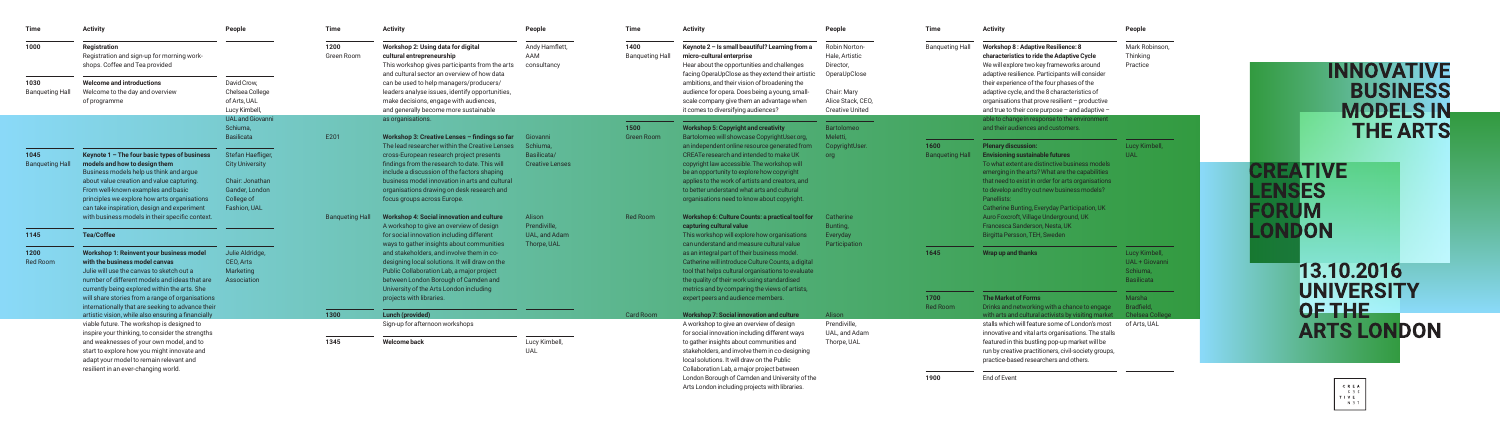| <b>Time</b>                    | <b>Activity</b>                                                                                                                                                                                                                  | People                                                          | <b>Time</b>            | <b>Activity</b>                                                                                                                                                                                                                                                          | People                                  | <b>Time</b>                    | <b>Activity</b>                                                                                                                                                                                                                                                                                         | People                                                              | <b>Time</b>            | <b>Activity</b>                                                                                                                                                                                   | People                                                           |
|--------------------------------|----------------------------------------------------------------------------------------------------------------------------------------------------------------------------------------------------------------------------------|-----------------------------------------------------------------|------------------------|--------------------------------------------------------------------------------------------------------------------------------------------------------------------------------------------------------------------------------------------------------------------------|-----------------------------------------|--------------------------------|---------------------------------------------------------------------------------------------------------------------------------------------------------------------------------------------------------------------------------------------------------------------------------------------------------|---------------------------------------------------------------------|------------------------|---------------------------------------------------------------------------------------------------------------------------------------------------------------------------------------------------|------------------------------------------------------------------|
| 1000                           | <b>Registration</b><br>Registration and sign-up for morning work-<br>shops. Coffee and Tea provided                                                                                                                              |                                                                 | 1200<br>Green Room     | Workshop 2: Using data for digital<br>cultural entrepreneurship<br>This workshop gives participants from the arts<br>and cultural sector an overview of how data                                                                                                         | Andy Hamflett,<br>AAM<br>consultancy    | 1400<br><b>Banqueting Hall</b> | Keynote 2 - Is small beautiful? Learning from a<br>micro-cultural enterprise<br>Hear about the opportunities and challenges<br>facing OperaUpClose as they extend their artistic                                                                                                                        | <b>Robin Norton-</b><br>Hale, Artistic<br>Director,<br>OperaUpClose | <b>Banqueting Hall</b> | <b>Workshop 8: Adaptive Resilience: 8</b><br>characteristics to ride the Adaptive Cycle<br>We will explore two key frameworks around<br>adaptive resilience. Participants will consider           | Mark Robinson,<br>Thinking<br>Practice                           |
| 1030<br><b>Banqueting Hall</b> | <b>Welcome and introductions</b><br>Welcome to the day and overview<br>of programme                                                                                                                                              | David Crow,<br>Chelsea College<br>of Arts, UAL<br>Lucy Kimbell, |                        | can be used to help managers/producers/<br>leaders analyse issues, identify opportunities,<br>make decisions, engage with audiences,<br>and generally become more sustainable                                                                                            |                                         |                                | ambitions, and their vision of broadening the<br>audience for opera. Does being a young, small-<br>scale company give them an advantage when<br>it comes to diversifying audiences?                                                                                                                     | Chair: Mary<br>Alice Stack, CEO,<br><b>Creative United</b>          |                        | their experience of the four phases of the<br>adaptive cycle, and the 8 characteristics of<br>organisations that prove resilient - productive<br>and true to their core purpose - and adaptive -  |                                                                  |
|                                |                                                                                                                                                                                                                                  | <b>UAL and Giovanni</b><br>Schiuma,                             |                        | as organisations.                                                                                                                                                                                                                                                        |                                         | 1500                           | <b>Workshop 5: Copyright and creativity</b>                                                                                                                                                                                                                                                             | Bartolomeo                                                          |                        | able to change in response to the environment<br>and their audiences and customers.                                                                                                               |                                                                  |
|                                |                                                                                                                                                                                                                                  | Basilicata                                                      | E201                   | Workshop 3: Creative Lenses - findings so far<br>The lead researcher within the Creative Lenses                                                                                                                                                                          | Giovanni<br>Schiuma.                    | <b>Green Room</b>              | Bartolomeo will showcase CopyrightUser.org,<br>an independent online resource generated from                                                                                                                                                                                                            | Meletti,<br>CopyrightUser.                                          | 1600                   | <b>Plenary discussion:</b>                                                                                                                                                                        | Lucy Kimbell,                                                    |
| 1045<br><b>Banqueting Hall</b> | Keynote 1 - The four basic types of business<br>models and how to design them<br>Business models help us think and argue<br>about value creation and value capturing.                                                            | Stefan Haefliger,<br><b>City University</b><br>Chair: Jonathan  |                        | cross-European research project presents<br>findings from the research to date. This will<br>include a discussion of the factors shaping<br>business model innovation in arts and cultural                                                                               | Basilicata/<br><b>Creative Lenses</b>   |                                | CREATe research and intended to make UK<br>copyright law accessible. The workshop will<br>be an opportunity to explore how copyright<br>applies to the work of artists and creators, and                                                                                                                | org                                                                 | <b>Banqueting Hall</b> | <b>Envisioning sustainable futures</b><br>To what extent are distinctive business models<br>emerging in the arts? What are the capabilities<br>that need to exist in order for arts organisations | <b>UAL</b>                                                       |
|                                | From well-known examples and basic<br>principles we explore how arts organisations<br>can take inspiration, design and experiment                                                                                                | Gander, London<br>College of<br>Fashion, UAL                    |                        | organisations drawing on desk research and<br>focus groups across Europe.                                                                                                                                                                                                |                                         |                                | to better understand what arts and cultural<br>organisations need to know about copyright.                                                                                                                                                                                                              |                                                                     |                        | to develop and try out new business models?<br>Panellists:<br>Catherine Bunting, Everyday Participation, UK                                                                                       |                                                                  |
| 1145                           | with business models in their specific context.<br><b>Tea/Coffee</b>                                                                                                                                                             |                                                                 | <b>Bangueting Hall</b> | <b>Workshop 4: Social innovation and culture</b><br>A workshop to give an overview of design<br>for social innovation including different                                                                                                                                | Alison<br>Prendiville,<br>UAL, and Adam | Red Room                       | <b>Workshop 6: Culture Counts: a practical tool for</b><br>capturing cultural value<br>This workshop will explore how organisations                                                                                                                                                                     | Catherine<br>Bunting,<br>Everyday                                   |                        | Auro Foxcroft, Village Underground, UK<br>Francesca Sanderson, Nesta, UK<br>Birgitta Persson, TEH, Sweden                                                                                         |                                                                  |
| 1200<br>Red Room               | <b>Workshop 1: Reinvent your business model</b><br>with the business model canvas<br>Julie will use the canvas to sketch out a<br>number of different models and ideas that are<br>currently being explored within the arts. She | Julie Aldridge,<br>CEO, Arts<br>Marketing<br>Association        |                        | ways to gather insights about communities<br>and stakeholders, and involve them in co-<br>designing local solutions. It will draw on the<br>Public Collaboration Lab, a major project<br>between London Borough of Camden and<br>University of the Arts London including | Thorpe, UAL                             |                                | can understand and measure cultural value<br>as an integral part of their business model.<br>Catherine will introduce Culture Counts, a digital<br>tool that helps cultural organisations to evaluate<br>the quality of their work using standardised<br>metrics and by comparing the views of artists, | Participation                                                       | 1645                   | Wrap up and thanks                                                                                                                                                                                | Lucy Kimbell,<br>UAL + Giovanni<br>Schiuma,<br><b>Basilicata</b> |
|                                | will share stories from a range of organisations<br>internationally that are seeking to advance their                                                                                                                            |                                                                 |                        | projects with libraries.                                                                                                                                                                                                                                                 |                                         |                                | expert peers and audience members.                                                                                                                                                                                                                                                                      |                                                                     | 1700<br>Red Room       | The Market of Forms<br>Drinks and networking with a chance to engage                                                                                                                              | Marsha<br>Bradfield,                                             |
|                                | artistic vision, while also ensuring a financially                                                                                                                                                                               |                                                                 | 1300                   | Lunch (provided)                                                                                                                                                                                                                                                         |                                         | <b>Card Room</b>               | <b>Workshop 7: Social innovation and culture</b>                                                                                                                                                                                                                                                        | Alison                                                              |                        | with arts and cultural activists by visiting market                                                                                                                                               | Chelsea College                                                  |
|                                | viable future. The workshop is designed to<br>inspire your thinking, to consider the strengths                                                                                                                                   |                                                                 |                        | Sign-up for afternoon workshops                                                                                                                                                                                                                                          |                                         |                                | A workshop to give an overview of design<br>for social innovation including different ways                                                                                                                                                                                                              | Prendiville,<br>UAL, and Adam                                       |                        | stalls which will feature some of London's most<br>innovative and vital arts organisations. The stalls                                                                                            | of Arts, UAL                                                     |
|                                | and weaknesses of your own model, and to<br>start to explore how you might innovate and<br>adapt your model to remain relevant and<br>resilient in an ever-changing world.                                                       |                                                                 | 1345                   | <b>Welcome back</b>                                                                                                                                                                                                                                                      | Lucy Kimbell,<br><b>UAL</b>             |                                | to gather insights about communities and<br>stakeholders, and involve them in co-designing<br>local solutions. It will draw on the Public<br>Collaboration Lab, a major project between                                                                                                                 | Thorpe, UAL                                                         |                        | featured in this bustling pop-up market will be<br>run by creative practitioners, civil-society groups,<br>practice-based researchers and others.                                                 |                                                                  |
|                                |                                                                                                                                                                                                                                  |                                                                 |                        |                                                                                                                                                                                                                                                                          |                                         |                                | London Borough of Camden and University of the<br>Arts London including projects with libraries.                                                                                                                                                                                                        |                                                                     | 1900                   | End of Event                                                                                                                                                                                      |                                                                  |

# **INNOVATIVE BUSINESS** MODELS IN<br>THE ARTS

**FORUM**<br>LONDON 13.10.2016 **UNIVERSITY** OF THE **ARTS LONDON** 

**CREATIVE** 

**LENSES**